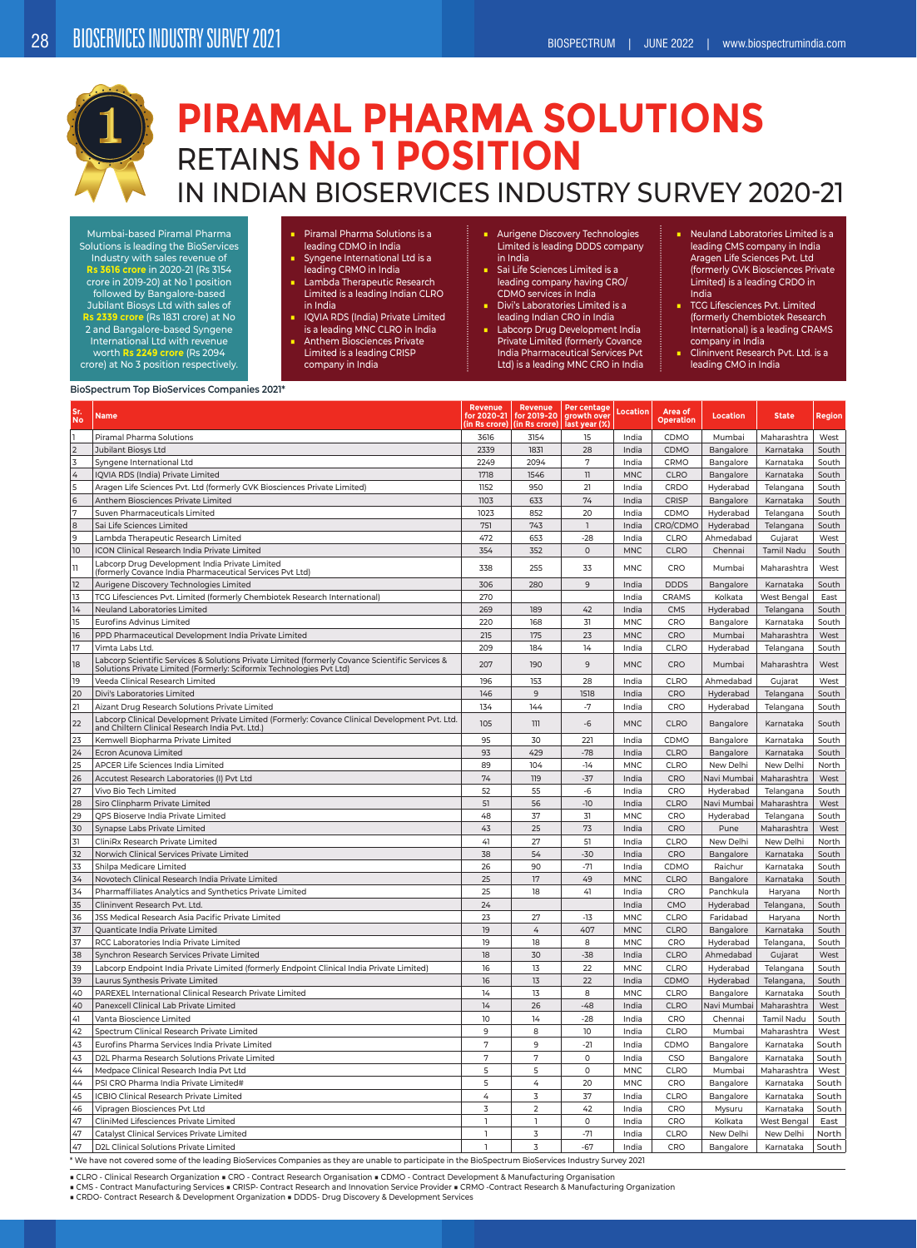

## **PIRAMAL PHARMA SOLUTIONS** RETAINS **No 1 POSITION** IN INDIAN BIOSERVICES INDUSTRY SURVEY 2020-21

Mumbai-based Piramal Pharma Solutions is leading the BioServices Industry with sales revenue of **Rs 3616 crore** in 2020-21 (Rs 3154 crore in 2019-20) at No 1 position followed by Bangalore-based Jubilant Biosys Ltd with sales of **Rs 2339 crore** (Rs 1831 crore) at No 2 and Bangalore-based Syngene International Ltd with revenue worth **Rs 2249 crore** (Rs 2094 crore) at No 3 position respectively.

■ Piramal Pharma Solutions is a leading CDMO in India

- Syngene International Ltd is a leading CRMO in India
- Lambda Therapeutic Research Limited is a leading Indian CLRO in India
- IQVIA RDS (India) Private Limited is a leading MNC CLRO in India
- Anthem Biosciences Private
- Limited is a leading CRISP company in India
- Aurigene Discovery Technologies Limited is leading DDDS company in India
- Sai Life Sciences Limited is a leading company having CRO/ CDMO services in India
- Divi's Laboratories Limited is a leading Indian CRO in India ■ Labcorp Drug Development India
- Private Limited (formerly Covance India Pharmaceutical Services Pvt Ltd) is a leading MNC CRO in India
- Neuland Laboratories Limited is a leading CMS company in India Aragen Life Sciences Pvt. Ltd (formerly GVK Biosciences Private Limited) is a leading CRDO in India
- TCG Lifesciences Pvt. Limited (formerly Chembiotek Research International) is a leading CRAMS company in India
- Clininvent Research Pvt. Ltd. is a leading CMO in India

## **BioSpectrum Top BioServices Companies 2021\***

| Sr<br><b>No</b> | <b>Name</b>                                                                                                                                                             | <b>Revenue</b><br>for 2020-21<br>(in Rs crore) | Revenue<br>for 2019-20<br>(in Rs crore) | Per centage<br>growth over<br>last year (%) | Location   | Area of<br><b>Operation</b> | <b>Location</b> | <b>State</b> | <b>Region</b> |
|-----------------|-------------------------------------------------------------------------------------------------------------------------------------------------------------------------|------------------------------------------------|-----------------------------------------|---------------------------------------------|------------|-----------------------------|-----------------|--------------|---------------|
| ı               | Piramal Pharma Solutions                                                                                                                                                | 3616                                           | 3154                                    | 15                                          | India      | CDMO                        | Mumbai          | Maharashtra  | West          |
| $\overline{2}$  | Jubilant Biosys Ltd                                                                                                                                                     | 2339                                           | 1831                                    | 28                                          | India      | CDMO                        | Bangalore       | Karnataka    | South         |
| 3               | Syngene International Ltd                                                                                                                                               | 2249                                           | 2094                                    | 7                                           | India      | CRMO                        | Bangalore       | Karnataka    | South         |
| $\overline{4}$  | IQVIA RDS (India) Private Limited                                                                                                                                       | 1718                                           | 1546                                    | $\begin{array}{c} \hline \end{array}$       | <b>MNC</b> | <b>CLRO</b>                 | Bangalore       | Karnataka    | South         |
| 5               | Aragen Life Sciences Pvt. Ltd (formerly GVK Biosciences Private Limited)                                                                                                | 1152                                           | 950                                     | 21                                          | India      | CRDO                        | Hyderabad       | Telangana    | South         |
| 6               | Anthem Biosciences Private Limited                                                                                                                                      | 1103                                           | 633                                     | 74                                          | India      | CRISP                       | Bangalore       | Karnataka    | South         |
| 7               | Suven Pharmaceuticals Limited                                                                                                                                           | 1023                                           | 852                                     | 20                                          | India      | CDMO                        | Hyderabad       | Telangana    | South         |
| $\bf8$          | Sai Life Sciences Limited                                                                                                                                               | 751                                            | 743                                     | $\overline{1}$                              | India      | CRO/CDMO                    | Hyderabad       | Telangana    | South         |
| 9               | Lambda Therapeutic Research Limited                                                                                                                                     | 472                                            | 653                                     | $-28$                                       | India      | CLRO                        | Ahmedabad       | Gujarat      | West          |
| 10              | ICON Clinical Research India Private Limited                                                                                                                            | 354                                            | 352                                     | $\mathsf{O}\xspace$                         | <b>MNC</b> | CLRO                        | Chennai         | Tamil Nadu   | South         |
| $\mathbb{I}$    | Labcorp Drug Development India Private Limited<br>(formerly Covance India Pharmaceutical Services Pvt Ltd)                                                              | 338                                            | 255                                     | 33                                          | <b>MNC</b> | CRO                         | Mumbai          | Maharashtra  | West          |
| 12              | Aurigene Discovery Technologies Limited                                                                                                                                 | 306                                            | 280                                     | 9                                           | India      | <b>DDDS</b>                 | Bangalore       | Karnataka    | South         |
| 13              | TCG Lifesciences Pvt. Limited (formerly Chembiotek Research International)                                                                                              | 270                                            |                                         |                                             | India      | CRAMS                       | Kolkata         | West Bengal  | East          |
| 14              | Neuland Laboratories Limited                                                                                                                                            | 269                                            | 189                                     | 42                                          | India      | CMS                         | Hyderabad       | Telangana    | South         |
| 15              | <b>Eurofins Advinus Limited</b>                                                                                                                                         | 220                                            | 168                                     | 31                                          | <b>MNC</b> | CRO                         | Bangalore       | Karnataka    | South         |
| 16              | PPD Pharmaceutical Development India Private Limited                                                                                                                    | 215                                            | 175                                     | 23                                          | <b>MNC</b> | CRO                         | Mumbai          | Maharashtra  | West          |
| 17              | Vimta Labs Ltd.                                                                                                                                                         | 209                                            | 184                                     | 14                                          | India      | CLRO                        | Hyderabad       | Telangana    | South         |
| 18              | Labcorp Scientific Services & Solutions Private Limited (formerly Covance Scientific Services &<br>Solutions Private Limited (Formerly: Sciformix Technologies Pvt Ltd) | 207                                            | 190                                     | 9                                           | MNC.       | CRO                         | Mumbai          | Maharashtra  | West          |
| 19              | Veeda Clinical Research Limited                                                                                                                                         | 196                                            | 153                                     | 28                                          | India      | CLRO                        | Ahmedabad       | Gujarat      | West          |
| 20              | Divi's Laboratories Limited                                                                                                                                             | 146                                            | 9                                       | 1518                                        | India      | CRO                         | Hyderabad       | Telangana    | South         |
| 21              | Aizant Drug Research Solutions Private Limited                                                                                                                          | 134                                            | 144                                     | $-7$                                        | India      | CRO                         | Hyderabad       | Telangana    | South         |
| 22              | Labcorp Clinical Development Private Limited (Formerly: Covance Clinical Development Pvt. Ltd.<br>and Chiltern Clinical Research India Pvt. Ltd.)                       | 105                                            | 111                                     | $-6$                                        | <b>MNC</b> | CLRO                        | Bangalore       | Karnataka    | South         |
| 23              | Kemwell Biopharma Private Limited                                                                                                                                       | 95                                             | 30                                      | 221                                         | India      | CDMO                        | Bangalore       | Karnataka    | South         |
| 24              | Ecron Acunova Limited                                                                                                                                                   | 93                                             | 429                                     | $-78$                                       | India      | <b>CLRO</b>                 | Bangalore       | Karnataka    | South         |
| 25              | APCER Life Sciences India Limited                                                                                                                                       | 89                                             | 104                                     | $-14$                                       | <b>MNC</b> | CLRO                        | New Delhi       | New Delhi    | North         |
| 26              | Accutest Research Laboratories (I) Pvt Ltd                                                                                                                              | 74                                             | 119                                     | $-37$                                       | India      | CRO                         | Navi Mumbai     | Maharashtra  | West          |
| 27              | Vivo Bio Tech Limited                                                                                                                                                   | 52                                             | 55                                      | $-6$                                        | India      | CRO                         | Hyderabad       | Telangana    | South         |
| 28              | Siro Clinpharm Private Limited                                                                                                                                          | 51                                             | 56                                      | $-10$                                       | India      | <b>CLRO</b>                 | Navi Mumbai     | Maharashtra  | West          |
| 29              | QPS Bioserve India Private Limited                                                                                                                                      | 48                                             | 37                                      | 31                                          | <b>MNC</b> | CRO                         | Hyderabad       | Telangana    | South         |
| 30              | Synapse Labs Private Limited                                                                                                                                            | 43                                             | 25                                      | 73                                          | India      | CRO                         | Pune            | Maharashtra  | West          |
| 31              | CliniRx Research Private Limited                                                                                                                                        | 41                                             | 27                                      | 51                                          | India      | CLRO                        | New Delhi       | New Delhi    | North         |
| 32              | Norwich Clinical Services Private Limited                                                                                                                               | 38                                             | 54                                      | $-30$                                       | India      | CRO                         | Bangalore       | Karnataka    | South         |
| 33              | Shilpa Medicare Limited                                                                                                                                                 | 26                                             | 90                                      | $-71$                                       | India      | CDMO                        | Raichur         | Karnataka    | South         |
| 34              | Novotech Clinical Research India Private Limited                                                                                                                        | 25                                             | 17                                      | 49                                          | <b>MNC</b> | <b>CLRO</b>                 | Bangalore       | Karnataka    | South         |
| 34              | Pharmaffiliates Analytics and Synthetics Private Limited                                                                                                                | 25                                             | 18                                      | 41                                          | India      | CRO                         | Panchkula       | Haryana      | North         |
| 35              | Clininvent Research Pvt. Ltd.                                                                                                                                           | 24                                             |                                         |                                             | India      | CMO                         | Hyderabad       | Telangana,   | South         |
| 36              | JSS Medical Research Asia Pacific Private Limited                                                                                                                       | 23                                             | 27                                      | $-13$                                       | <b>MNC</b> | CLRO                        | Faridabad       | Haryana      | North         |
| 37              | Quanticate India Private Limited                                                                                                                                        | 19                                             | 4                                       | 407                                         | <b>MNC</b> | <b>CLRO</b>                 | Bangalore       | Karnataka    | South         |
| 37              | RCC Laboratories India Private Limited                                                                                                                                  | 19                                             | 18                                      | 8                                           | <b>MNC</b> | CRO                         | Hyderabad       | Telangana,   | South         |
| 38              | Synchron Research Services Private Limited                                                                                                                              | 18                                             | 30                                      | $-38$                                       | India      | <b>CLRO</b>                 | Ahmedabad       | Gujarat      | West          |
| 39              | Labcorp Endpoint India Private Limited (formerly Endpoint Clinical India Private Limited)                                                                               | 16                                             | 13                                      | 22                                          | <b>MNC</b> | CLRO                        | Hyderabad       | Telangana    | South         |
| 39              | Laurus Synthesis Private Limited                                                                                                                                        | 16                                             | 13                                      | 22                                          | India      | CDMO                        | Hyderabad       | Telangana,   | South         |
| 40              | PAREXEL International Clinical Research Private Limited                                                                                                                 | 14                                             | 13                                      | 8                                           | <b>MNC</b> | CLRO                        | Bangalore       | Karnataka    | South         |
| 40              | Panexcell Clinical Lab Private Limited                                                                                                                                  | 14                                             | 26                                      | $-48$                                       | India      | CLRO                        | Navi Mumbai     | Maharashtra  | West          |
| 41              | Vanta Bioscience Limited                                                                                                                                                | 10                                             | 14                                      | $-28$                                       | India      | CRO                         | Chennai         | Tamil Nadu   | South         |
| 42              | Spectrum Clinical Research Private Limited                                                                                                                              | 9                                              | 8                                       | 10                                          | India      | CLRO                        | Mumbai          | Maharashtra  | West          |
| 43              | Eurofins Pharma Services India Private Limited                                                                                                                          | 7                                              | 9                                       | $-21$                                       | India      | CDMO                        | Bangalore       | Karnataka    | South         |
| 43              | D2L Pharma Research Solutions Private Limited                                                                                                                           | 7                                              | 7                                       | $\circ$                                     | India      | CSO                         | Bangalore       | Karnataka    | South         |
| 44              | Medpace Clinical Research India Pvt Ltd                                                                                                                                 | 5                                              | 5                                       | $\circ$                                     | <b>MNC</b> | CLRO                        | Mumbai          | Maharashtra  | West          |
| 44              | PSI CRO Pharma India Private Limited#                                                                                                                                   | 5                                              | 4                                       | 20                                          | <b>MNC</b> | CRO                         | Bangalore       | Karnataka    | South         |
| 45              | ICBIO Clinical Research Private Limited                                                                                                                                 | 4                                              | 3                                       | 37                                          | India      | CLRO                        | Bangalore       | Karnataka    | South         |
| 46              | Vipragen Biosciences Pvt Ltd                                                                                                                                            | 3                                              | $\overline{2}$                          | 42                                          | India      | CRO                         | Mysuru          | Karnataka    | South         |
| 47              | CliniMed Lifesciences Private Limited                                                                                                                                   | $\overline{1}$                                 | $\overline{1}$                          | $\circ$                                     | India      | CRO                         | Kolkata         | West Bengal  | East          |
| 47              | Catalyst Clinical Services Private Limited                                                                                                                              | $\mathbf{I}$                                   | 3                                       | $-71$                                       | India      | <b>CLRO</b>                 | New Delhi       | New Delhi    | North         |
| 47              | D2L Clinical Solutions Private Limited                                                                                                                                  | $\mathbf{1}$                                   | 3                                       | $-67$                                       | India      | CRO                         | Bangalore       | Karnataka    | South         |
|                 |                                                                                                                                                                         |                                                |                                         |                                             |            |                             |                 |              |               |

\* We have not covered some of the leading BioServices Companies as they are unable to participate in the BioSpectrum BioServices Industry Survey 2021

■ CLRO - Clinical Research Organization ■ CRO - Contract Research Organisation ■ CDMO - Contract Development & Manufacturing Organisation<br>■ CMS - Contract Manufacturing Services ■ CRISP- Contract Research and Innovation S

■ CRDO- Contract Research & Development Organization ■ DDDS- Drug Discovery & Development Services